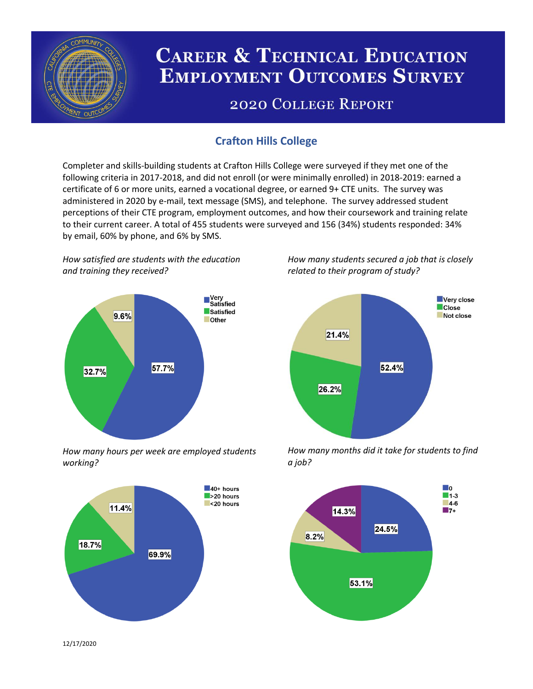

# **CAREER & TECHNICAL EDUCATION EMPLOYMENT OUTCOMES SURVEY**

## **2020 COLLEGE REPORT**

### **Crafton Hills College**

Completer and skills-building students at Crafton Hills College were surveyed if they met one of the following criteria in 2017-2018, and did not enroll (or were minimally enrolled) in 2018-2019: earned a certificate of 6 or more units, earned a vocational degree, or earned 9+ CTE units. The survey was administered in 2020 by e-mail, text message (SMS), and telephone. The survey addressed student perceptions of their CTE program, employment outcomes, and how their coursework and training relate to their current career. A total of 455 students were surveyed and 156 (34%) students responded: 34% by email, 60% by phone, and 6% by SMS.

*How satisfied are students with the education and training they received?*



*How many hours per week are employed students working?*



*How many students secured a job that is closely related to their program of study?*



*How many months did it take for students to find a job?*



12/17/2020